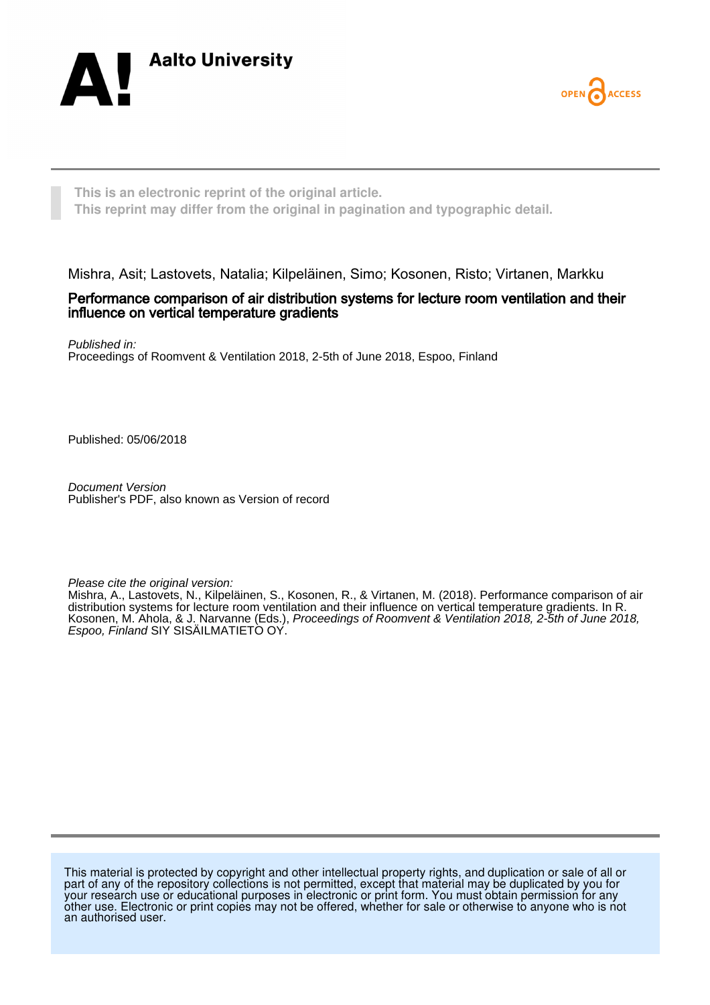



**This is an electronic reprint of the original article. This reprint may differ from the original in pagination and typographic detail.**

Mishra, Asit; Lastovets, Natalia; Kilpeläinen, Simo; Kosonen, Risto; Virtanen, Markku

#### Performance comparison of air distribution systems for lecture room ventilation and their influence on vertical temperature gradients

Published in: Proceedings of Roomvent & Ventilation 2018, 2-5th of June 2018, Espoo, Finland

Published: 05/06/2018

Document Version Publisher's PDF, also known as Version of record

Please cite the original version:

Mishra, A., Lastovets, N., Kilpeläinen, S., Kosonen, R., & Virtanen, M. (2018). Performance comparison of air distribution systems for lecture room ventilation and their influence on vertical temperature gradients. In R. Kosonen, M. Ahola, & J. Narvanne (Eds.), Proceedings of Roomvent & Ventilation 2018, 2-5th of June 2018, Espoo, Finland SIY SISÄILMATIETO OY.

This material is protected by copyright and other intellectual property rights, and duplication or sale of all or part of any of the repository collections is not permitted, except that material may be duplicated by you for your research use or educational purposes in electronic or print form. You must obtain permission for any other use. Electronic or print copies may not be offered, whether for sale or otherwise to anyone who is not an authorised user.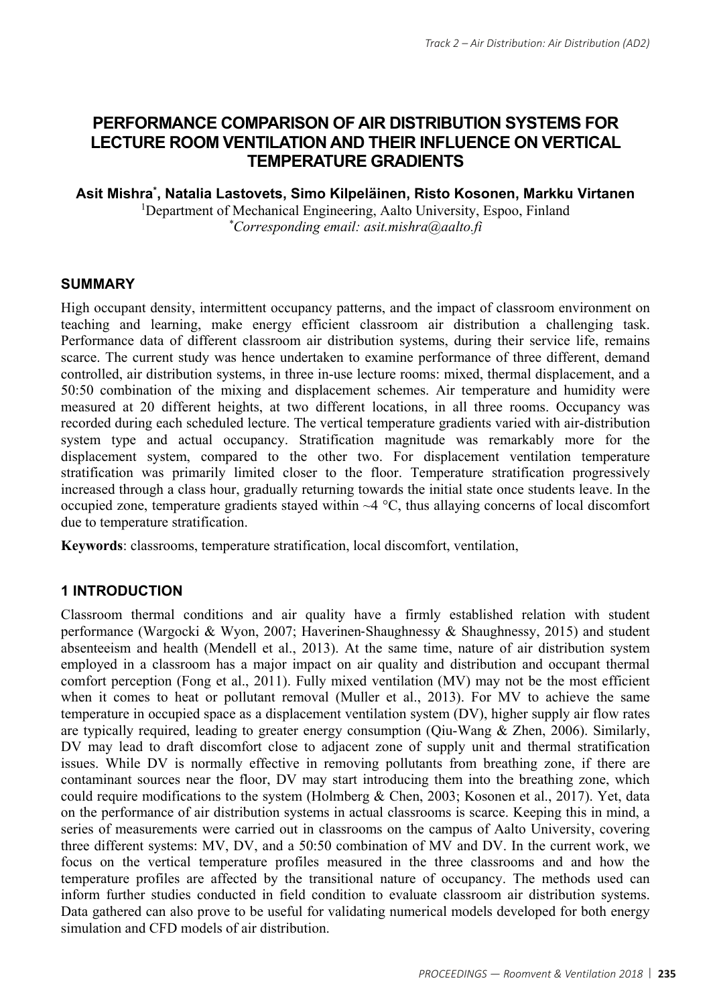# **PERFORMANCE COMPARISON OF AIR DISTRIBUTION SYSTEMS FOR LECTURE ROOM VENTILATION AND THEIR INFLUENCE ON VERTICAL TEMPERATURE GRADIENTS**

# **Asit Mishra\* , Natalia Lastovets, Simo Kilpeläinen, Risto Kosonen, Markku Virtanen**

<sup>1</sup>Department of Mechanical Engineering, Aalto University, Espoo, Finland *\*Corresponding email: asit.mishra@aalto.fi* 

# **SUMMARY**

High occupant density, intermittent occupancy patterns, and the impact of classroom environment on teaching and learning, make energy efficient classroom air distribution a challenging task. Performance data of different classroom air distribution systems, during their service life, remains scarce. The current study was hence undertaken to examine performance of three different, demand controlled, air distribution systems, in three in-use lecture rooms: mixed, thermal displacement, and a 50:50 combination of the mixing and displacement schemes. Air temperature and humidity were measured at 20 different heights, at two different locations, in all three rooms. Occupancy was recorded during each scheduled lecture. The vertical temperature gradients varied with air-distribution system type and actual occupancy. Stratification magnitude was remarkably more for the displacement system, compared to the other two. For displacement ventilation temperature stratification was primarily limited closer to the floor. Temperature stratification progressively increased through a class hour, gradually returning towards the initial state once students leave. In the occupied zone, temperature gradients stayed within  $\sim$ 4 °C, thus allaying concerns of local discomfort due to temperature stratification.

**Keywords**: classrooms, temperature stratification, local discomfort, ventilation,

# **1 INTRODUCTION**

Classroom thermal conditions and air quality have a firmly established relation with student performance (Wargocki & Wyon, 2007; Haverinen‐Shaughnessy & Shaughnessy, 2015) and student absenteeism and health (Mendell et al., 2013). At the same time, nature of air distribution system employed in a classroom has a major impact on air quality and distribution and occupant thermal comfort perception (Fong et al., 2011). Fully mixed ventilation (MV) may not be the most efficient when it comes to heat or pollutant removal (Muller et al., 2013). For MV to achieve the same temperature in occupied space as a displacement ventilation system (DV), higher supply air flow rates are typically required, leading to greater energy consumption (Qiu-Wang & Zhen, 2006). Similarly, DV may lead to draft discomfort close to adjacent zone of supply unit and thermal stratification issues. While DV is normally effective in removing pollutants from breathing zone, if there are contaminant sources near the floor, DV may start introducing them into the breathing zone, which could require modifications to the system (Holmberg & Chen, 2003; Kosonen et al., 2017). Yet, data on the performance of air distribution systems in actual classrooms is scarce. Keeping this in mind, a series of measurements were carried out in classrooms on the campus of Aalto University, covering three different systems: MV, DV, and a 50:50 combination of MV and DV. In the current work, we focus on the vertical temperature profiles measured in the three classrooms and and how the temperature profiles are affected by the transitional nature of occupancy. The methods used can inform further studies conducted in field condition to evaluate classroom air distribution systems. Data gathered can also prove to be useful for validating numerical models developed for both energy simulation and CFD models of air distribution.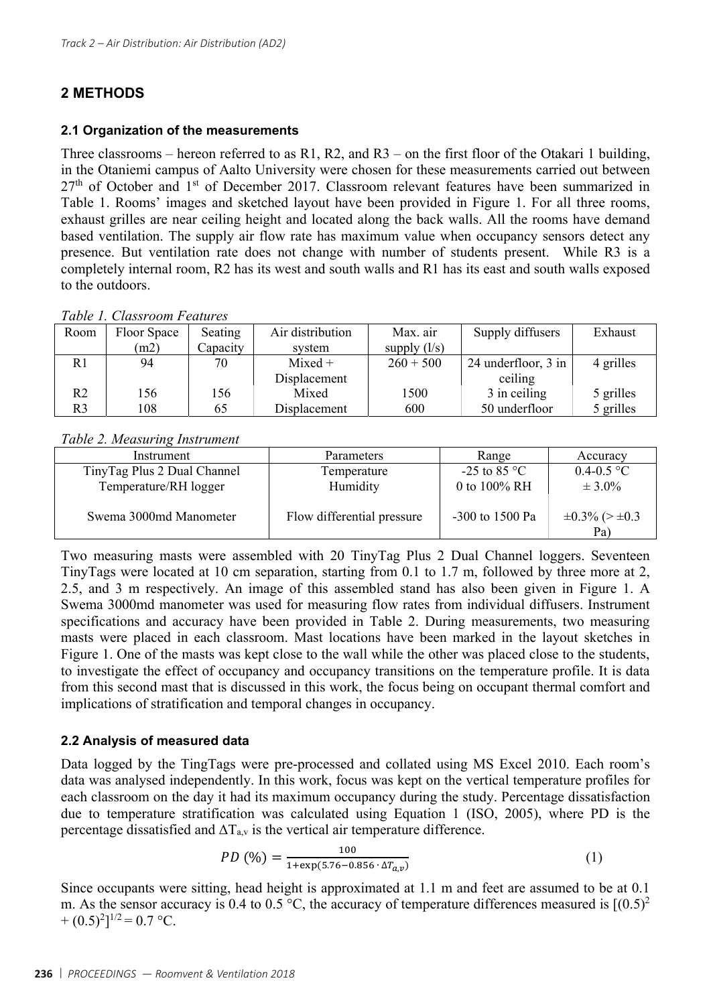# **2 METHODS**

#### **2.1 Organization of the measurements**

Three classrooms – hereon referred to as R1, R2, and R3 – on the first floor of the Otakari 1 building, in the Otaniemi campus of Aalto University were chosen for these measurements carried out between  $27<sup>th</sup>$  of October and 1<sup>st</sup> of December 2017. Classroom relevant features have been summarized in Table 1. Rooms' images and sketched layout have been provided in Figure 1. For all three rooms, exhaust grilles are near ceiling height and located along the back walls. All the rooms have demand based ventilation. The supply air flow rate has maximum value when occupancy sensors detect any presence. But ventilation rate does not change with number of students present. While R3 is a completely internal room, R2 has its west and south walls and R1 has its east and south walls exposed to the outdoors.

*Table 1. Classroom Features* 

| Room           | Floor Space | Seating  | Air distribution | Max. air       | Supply diffusers    | Exhaust   |
|----------------|-------------|----------|------------------|----------------|---------------------|-----------|
|                | (m2)        | Capacity | system           | supply $(l/s)$ |                     |           |
| R <sub>1</sub> | 94          | 70       | $Mixed +$        | $260 + 500$    | 24 underfloor, 3 in | 4 grilles |
|                |             |          | Displacement     |                | ceiling             |           |
| R2             | 156         | 156      | Mixed            | 1500           | 3 in ceiling        | 5 grilles |
| R3             | 108         | 65       | Displacement     | 600            | 50 underfloor       | 5 grilles |

#### *Table 2. Measuring Instrument*

| Instrument                   | Parameters                 | Range           | Accuracy                        |
|------------------------------|----------------------------|-----------------|---------------------------------|
| Tiny Tag Plus 2 Dual Channel | Temperature                | $-25$ to 85 °C  | $0.4 - 0.5$ °C                  |
| Temperature/RH logger        | Humidity                   | 0 to 100% RH    | $\pm 3.0\%$                     |
| Swema 3000md Manometer       | Flow differential pressure | -300 to 1500 Pa | $\pm 0.3\%$ (> $\pm 0.3$<br>Pa) |

Two measuring masts were assembled with 20 TinyTag Plus 2 Dual Channel loggers. Seventeen TinyTags were located at 10 cm separation, starting from 0.1 to 1.7 m, followed by three more at 2, 2.5, and 3 m respectively. An image of this assembled stand has also been given in Figure 1. A Swema 3000md manometer was used for measuring flow rates from individual diffusers. Instrument specifications and accuracy have been provided in Table 2. During measurements, two measuring masts were placed in each classroom. Mast locations have been marked in the layout sketches in Figure 1. One of the masts was kept close to the wall while the other was placed close to the students, to investigate the effect of occupancy and occupancy transitions on the temperature profile. It is data from this second mast that is discussed in this work, the focus being on occupant thermal comfort and implications of stratification and temporal changes in occupancy.

#### **2.2 Analysis of measured data**

Data logged by the TingTags were pre-processed and collated using MS Excel 2010. Each room's data was analysed independently. In this work, focus was kept on the vertical temperature profiles for each classroom on the day it had its maximum occupancy during the study. Percentage dissatisfaction due to temperature stratification was calculated using Equation 1 (ISO, 2005), where PD is the percentage dissatisfied and  $\Delta T_{av}$  is the vertical air temperature difference.

$$
PD\text{ (96)} = \frac{100}{1 + \exp(5.76 - 0.856 \cdot \Delta T_{a,v})}
$$
 (1)

Since occupants were sitting, head height is approximated at 1.1 m and feet are assumed to be at 0.1 m. As the sensor accuracy is 0.4 to 0.5 °C, the accuracy of temperature differences measured is  $[(0.5)^2]$  $+ (0.5)^2$ ]<sup>1/2</sup> = 0.7 °C.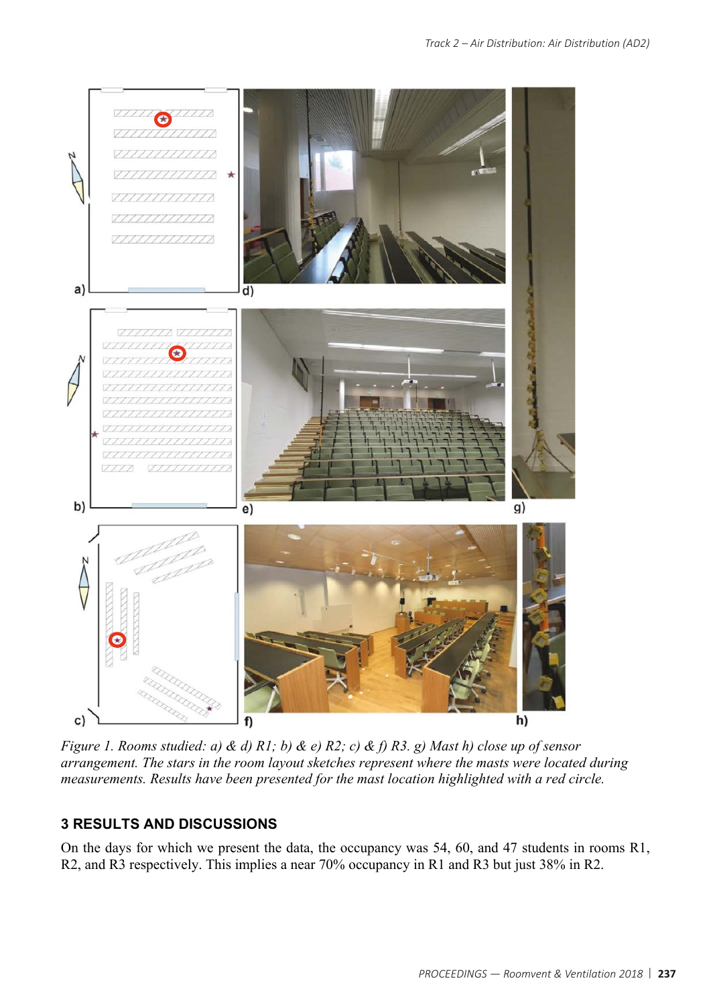

*Figure 1. Rooms studied: a) & d) R1; b) & e) R2; c) & f) R3. g) Mast h) close up of sensor arrangement. The stars in the room layout sketches represent where the masts were located during measurements. Results have been presented for the mast location highlighted with a red circle.* 

# **3 RESULTS AND DISCUSSIONS**

On the days for which we present the data, the occupancy was 54, 60, and 47 students in rooms R1, R2, and R3 respectively. This implies a near 70% occupancy in R1 and R3 but just 38% in R2.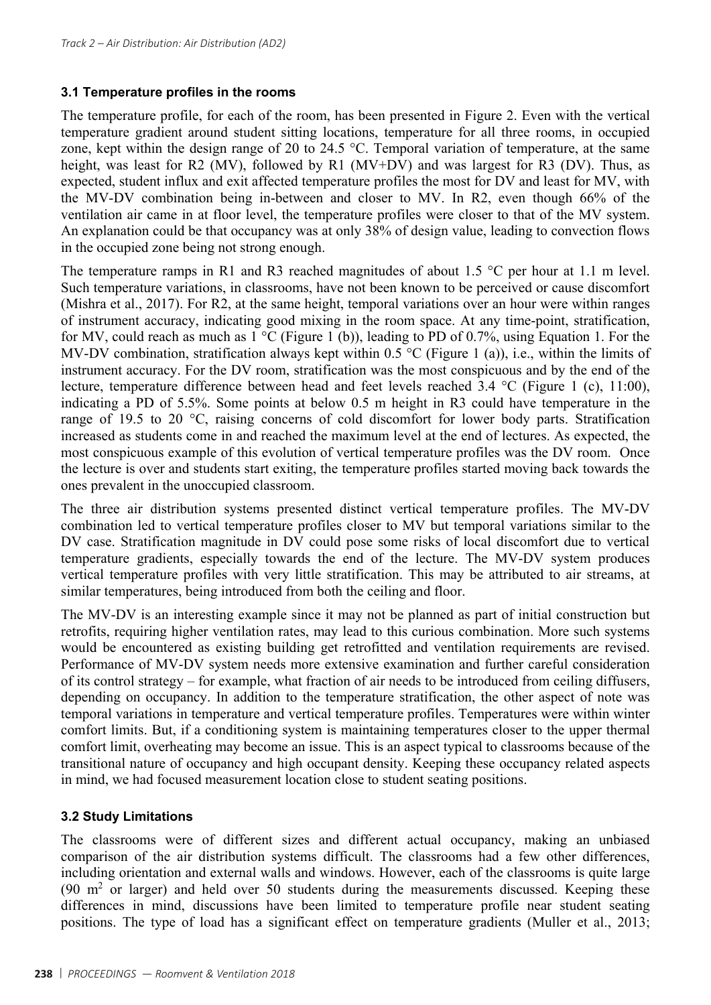#### **3.1 Temperature profiles in the rooms**

The temperature profile, for each of the room, has been presented in Figure 2. Even with the vertical temperature gradient around student sitting locations, temperature for all three rooms, in occupied zone, kept within the design range of 20 to 24.5 °C. Temporal variation of temperature, at the same height, was least for R2 (MV), followed by R1 (MV+DV) and was largest for R3 (DV). Thus, as expected, student influx and exit affected temperature profiles the most for DV and least for MV, with the MV-DV combination being in-between and closer to MV. In R2, even though 66% of the ventilation air came in at floor level, the temperature profiles were closer to that of the MV system. An explanation could be that occupancy was at only 38% of design value, leading to convection flows in the occupied zone being not strong enough.

The temperature ramps in R1 and R3 reached magnitudes of about 1.5 °C per hour at 1.1 m level. Such temperature variations, in classrooms, have not been known to be perceived or cause discomfort (Mishra et al., 2017). For R2, at the same height, temporal variations over an hour were within ranges of instrument accuracy, indicating good mixing in the room space. At any time-point, stratification, for MV, could reach as much as  $1 \text{ °C}$  (Figure 1 (b)), leading to PD of 0.7%, using Equation 1. For the MV-DV combination, stratification always kept within 0.5 °C (Figure 1 (a)), i.e., within the limits of instrument accuracy. For the DV room, stratification was the most conspicuous and by the end of the lecture, temperature difference between head and feet levels reached 3.4 °C (Figure 1 (c), 11:00), indicating a PD of 5.5%. Some points at below 0.5 m height in R3 could have temperature in the range of 19.5 to 20 °C, raising concerns of cold discomfort for lower body parts. Stratification increased as students come in and reached the maximum level at the end of lectures. As expected, the most conspicuous example of this evolution of vertical temperature profiles was the DV room. Once the lecture is over and students start exiting, the temperature profiles started moving back towards the ones prevalent in the unoccupied classroom.

The three air distribution systems presented distinct vertical temperature profiles. The MV-DV combination led to vertical temperature profiles closer to MV but temporal variations similar to the DV case. Stratification magnitude in DV could pose some risks of local discomfort due to vertical temperature gradients, especially towards the end of the lecture. The MV-DV system produces vertical temperature profiles with very little stratification. This may be attributed to air streams, at similar temperatures, being introduced from both the ceiling and floor.

The MV-DV is an interesting example since it may not be planned as part of initial construction but retrofits, requiring higher ventilation rates, may lead to this curious combination. More such systems would be encountered as existing building get retrofitted and ventilation requirements are revised. Performance of MV-DV system needs more extensive examination and further careful consideration of its control strategy – for example, what fraction of air needs to be introduced from ceiling diffusers, depending on occupancy. In addition to the temperature stratification, the other aspect of note was temporal variations in temperature and vertical temperature profiles. Temperatures were within winter comfort limits. But, if a conditioning system is maintaining temperatures closer to the upper thermal comfort limit, overheating may become an issue. This is an aspect typical to classrooms because of the transitional nature of occupancy and high occupant density. Keeping these occupancy related aspects in mind, we had focused measurement location close to student seating positions.

### **3.2 Study Limitations**

The classrooms were of different sizes and different actual occupancy, making an unbiased comparison of the air distribution systems difficult. The classrooms had a few other differences, including orientation and external walls and windows. However, each of the classrooms is quite large (90  $m<sup>2</sup>$  or larger) and held over 50 students during the measurements discussed. Keeping these differences in mind, discussions have been limited to temperature profile near student seating positions. The type of load has a significant effect on temperature gradients (Muller et al., 2013;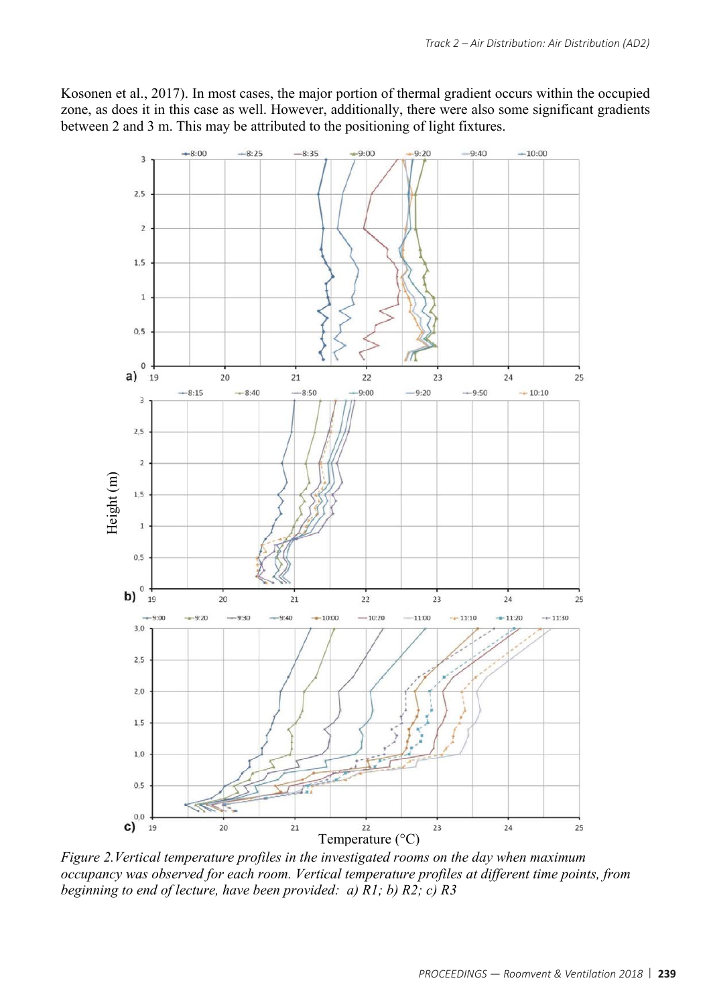Kosonen et al., 2017). In most cases, the major portion of thermal gradient occurs within the occupied zone, as does it in this case as well. However, additionally, there were also some significant gradients between 2 and 3 m. This may be attributed to the positioning of light fixtures.



*Figure 2.Vertical temperature profiles in the investigated rooms on the day when maximum occupancy was observed for each room. Vertical temperature profiles at different time points, from beginning to end of lecture, have been provided: a) R1; b) R2; c) R3*